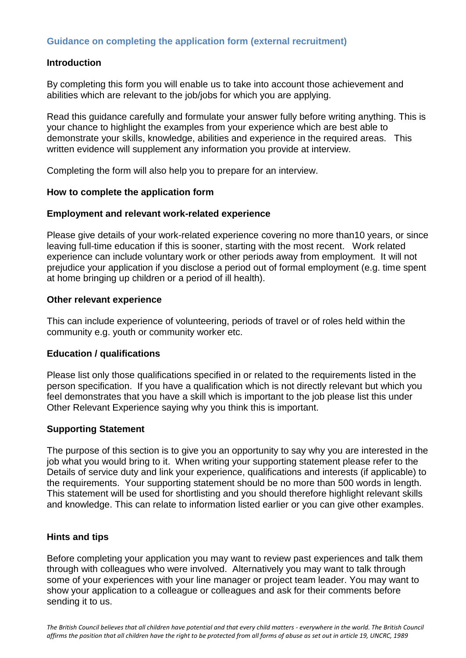# **Guidance on completing the application form (external recruitment)**

## **Introduction**

By completing this form you will enable us to take into account those achievement and abilities which are relevant to the job/jobs for which you are applying.

Read this guidance carefully and formulate your answer fully before writing anything. This is your chance to highlight the examples from your experience which are best able to demonstrate your skills, knowledge, abilities and experience in the required areas. This written evidence will supplement any information you provide at interview.

Completing the form will also help you to prepare for an interview.

## **How to complete the application form**

## **Employment and relevant work-related experience**

Please give details of your work-related experience covering no more than10 years, or since leaving full-time education if this is sooner, starting with the most recent. Work related experience can include voluntary work or other periods away from employment. It will not prejudice your application if you disclose a period out of formal employment (e.g. time spent at home bringing up children or a period of ill health).

## **Other relevant experience**

This can include experience of volunteering, periods of travel or of roles held within the community e.g. youth or community worker etc.

## **Education / qualifications**

Please list only those qualifications specified in or related to the requirements listed in the person specification. If you have a qualification which is not directly relevant but which you feel demonstrates that you have a skill which is important to the job please list this under Other Relevant Experience saying why you think this is important.

#### **Supporting Statement**

The purpose of this section is to give you an opportunity to say why you are interested in the job what you would bring to it. When writing your supporting statement please refer to the Details of service duty and link your experience, qualifications and interests (if applicable) to the requirements. Your supporting statement should be no more than 500 words in length. This statement will be used for shortlisting and you should therefore highlight relevant skills and knowledge. This can relate to information listed earlier or you can give other examples.

#### **Hints and tips**

Before completing your application you may want to review past experiences and talk them through with colleagues who were involved. Alternatively you may want to talk through some of your experiences with your line manager or project team leader. You may want to show your application to a colleague or colleagues and ask for their comments before sending it to us.